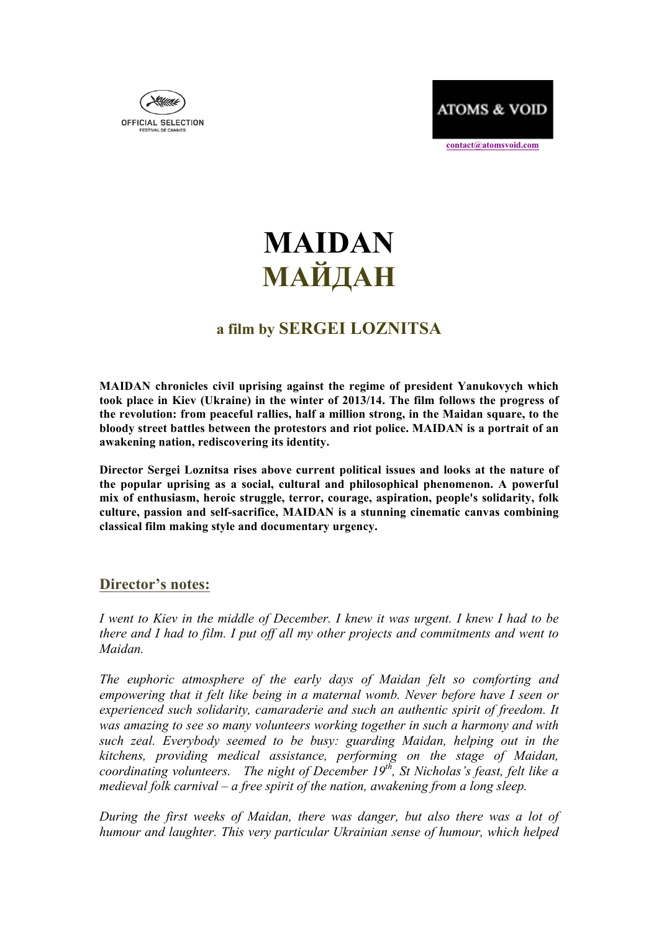



 **contact@atomsvoid.com**

# **MAIDAN МАЙДАН**

## **a film by SERGEI LOZNITSA**

**MAIDAN chronicles civil uprising against the regime of president Yanukovych which took place in Kiev (Ukraine) in the winter of 2013/14. The film follows the progress of the revolution: from peaceful rallies, half a million strong, in the Maidan square, to the bloody street battles between the protestors and riot police. MAIDAN is a portrait of an awakening nation, rediscovering its identity.**

**Director Sergei Loznitsa rises above current political issues and looks at the nature of the popular uprising as a social, cultural and philosophical phenomenon. A powerful mix of enthusiasm, heroic struggle, terror, courage, aspiration, people's solidarity, folk culture, passion and self-sacrifice, MAIDAN is a stunning cinematic canvas combining classical film making style and documentary urgency.**

### **Director's notes:**

*I went to Kiev in the middle of December. I knew it was urgent. I knew I had to be there and I had to film. I put off all my other projects and commitments and went to Maidan.* 

*The euphoric atmosphere of the early days of Maidan felt so comforting and empowering that it felt like being in a maternal womb. Never before have I seen or experienced such solidarity, camaraderie and such an authentic spirit of freedom. It was amazing to see so many volunteers working together in such a harmony and with such zeal. Everybody seemed to be busy: guarding Maidan, helping out in the kitchens, providing medical assistance, performing on the stage of Maidan, coordinating volunteers. The night of December 19th, St Nicholas's feast, felt like a medieval folk carnival – a free spirit of the nation, awakening from a long sleep.*

*During the first weeks of Maidan, there was danger, but also there was a lot of humour and laughter. This very particular Ukrainian sense of humour, which helped*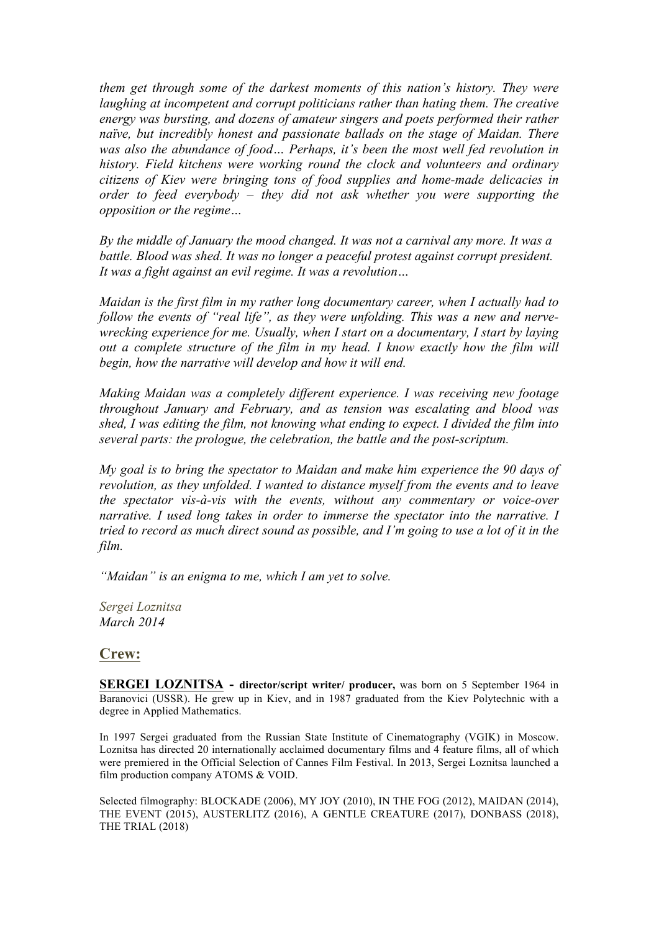*them get through some of the darkest moments of this nation's history. They were laughing at incompetent and corrupt politicians rather than hating them. The creative energy was bursting, and dozens of amateur singers and poets performed their rather naïve, but incredibly honest and passionate ballads on the stage of Maidan. There*  was also the abundance of food... Perhaps, it's been the most well fed revolution in *history. Field kitchens were working round the clock and volunteers and ordinary citizens of Kiev were bringing tons of food supplies and home-made delicacies in order to feed everybody – they did not ask whether you were supporting the opposition or the regime…*

*By the middle of January the mood changed. It was not a carnival any more. It was a battle. Blood was shed. It was no longer a peaceful protest against corrupt president. It was a fight against an evil regime. It was a revolution…* 

*Maidan is the first film in my rather long documentary career, when I actually had to follow the events of "real life", as they were unfolding. This was a new and nervewrecking experience for me. Usually, when I start on a documentary, I start by laying out a complete structure of the film in my head. I know exactly how the film will begin, how the narrative will develop and how it will end.* 

*Making Maidan was a completely different experience. I was receiving new footage throughout January and February, and as tension was escalating and blood was shed, I was editing the film, not knowing what ending to expect. I divided the film into several parts: the prologue, the celebration, the battle and the post-scriptum.* 

*My goal is to bring the spectator to Maidan and make him experience the 90 days of revolution, as they unfolded. I wanted to distance myself from the events and to leave the spectator vis-à-vis with the events, without any commentary or voice-over narrative. I used long takes in order to immerse the spectator into the narrative. I tried to record as much direct sound as possible, and I'm going to use a lot of it in the film.* 

*"Maidan" is an enigma to me, which I am yet to solve.* 

*Sergei Loznitsa March 2014* 

#### **Crew:**

**SERGEI LOZNITSA - director/script writer/ producer,** was born on 5 September 1964 in Baranovici (USSR). He grew up in Kiev, and in 1987 graduated from the Kiev Polytechnic with a degree in Applied Mathematics.

In 1997 Sergei graduated from the Russian State Institute of Cinematography (VGIK) in Moscow. Loznitsa has directed 20 internationally acclaimed documentary films and 4 feature films, all of which were premiered in the Official Selection of Cannes Film Festival. In 2013, Sergei Loznitsa launched a film production company ATOMS & VOID.

Selected filmography: BLOCKADE (2006), MY JOY (2010), IN THE FOG (2012), MAIDAN (2014), THE EVENT (2015), AUSTERLITZ (2016), A GENTLE CREATURE (2017), DONBASS (2018), THE TRIAL (2018)